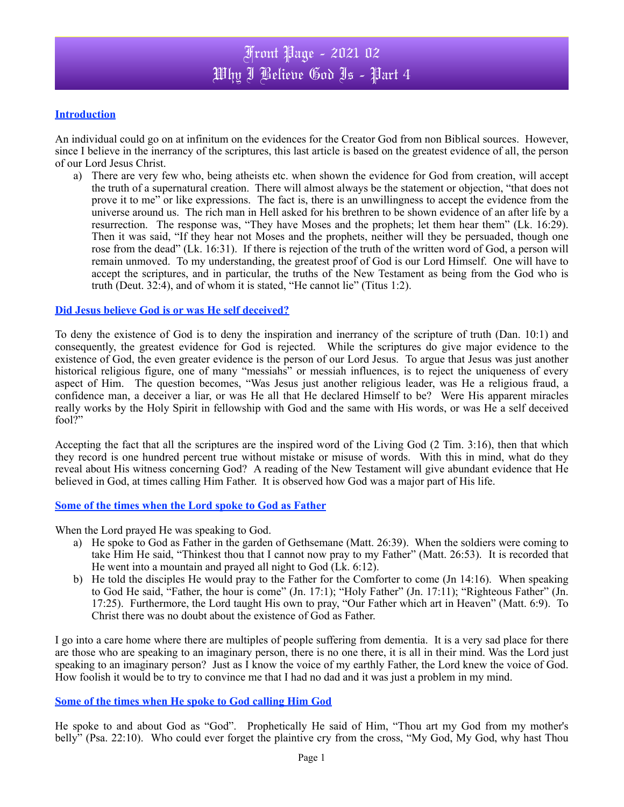### **Introduction**

An individual could go on at infinitum on the evidences for the Creator God from non Biblical sources. However, since I believe in the inerrancy of the scriptures, this last article is based on the greatest evidence of all, the person of our Lord Jesus Christ.

a) There are very few who, being atheists etc. when shown the evidence for God from creation, will accept the truth of a supernatural creation. There will almost always be the statement or objection, "that does not prove it to me" or like expressions. The fact is, there is an unwillingness to accept the evidence from the universe around us. The rich man in Hell asked for his brethren to be shown evidence of an after life by a resurrection. The response was, "They have Moses and the prophets; let them hear them" (Lk. 16:29). Then it was said, "If they hear not Moses and the prophets, neither will they be persuaded, though one rose from the dead" (Lk. 16:31). If there is rejection of the truth of the written word of God, a person will remain unmoved. To my understanding, the greatest proof of God is our Lord Himself. One will have to accept the scriptures, and in particular, the truths of the New Testament as being from the God who is truth (Deut. 32:4), and of whom it is stated, "He cannot lie" (Titus 1:2).

#### **Did Jesus believe God is or was He self deceived?**

To deny the existence of God is to deny the inspiration and inerrancy of the scripture of truth (Dan. 10:1) and consequently, the greatest evidence for God is rejected. While the scriptures do give major evidence to the existence of God, the even greater evidence is the person of our Lord Jesus. To argue that Jesus was just another historical religious figure, one of many "messiahs" or messiah influences, is to reject the uniqueness of every aspect of Him. The question becomes, "Was Jesus just another religious leader, was He a religious fraud, a confidence man, a deceiver a liar, or was He all that He declared Himself to be? Were His apparent miracles really works by the Holy Spirit in fellowship with God and the same with His words, or was He a self deceived fool?"

Accepting the fact that all the scriptures are the inspired word of the Living God (2 Tim. 3:16), then that which they record is one hundred percent true without mistake or misuse of words. With this in mind, what do they reveal about His witness concerning God? A reading of the New Testament will give abundant evidence that He believed in God, at times calling Him Father. It is observed how God was a major part of His life.

#### **Some of the times when the Lord spoke to God as Father**

When the Lord prayed He was speaking to God.

- a) He spoke to God as Father in the garden of Gethsemane (Matt. 26:39). When the soldiers were coming to take Him He said, "Thinkest thou that I cannot now pray to my Father" (Matt. 26:53). It is recorded that He went into a mountain and prayed all night to God (Lk. 6:12).
- b) He told the disciples He would pray to the Father for the Comforter to come (Jn 14:16). When speaking to God He said, "Father, the hour is come" (Jn. 17:1); "Holy Father" (Jn. 17:11); "Righteous Father" (Jn. 17:25). Furthermore, the Lord taught His own to pray, "Our Father which art in Heaven" (Matt. 6:9). To Christ there was no doubt about the existence of God as Father.

I go into a care home where there are multiples of people suffering from dementia. It is a very sad place for there are those who are speaking to an imaginary person, there is no one there, it is all in their mind. Was the Lord just speaking to an imaginary person? Just as I know the voice of my earthly Father, the Lord knew the voice of God. How foolish it would be to try to convince me that I had no dad and it was just a problem in my mind.

#### **Some of the times when He spoke to God calling Him God**

He spoke to and about God as "God". Prophetically He said of Him, "Thou art my God from my mother's belly" (Psa. 22:10). Who could ever forget the plaintive cry from the cross, "My God, My God, why hast Thou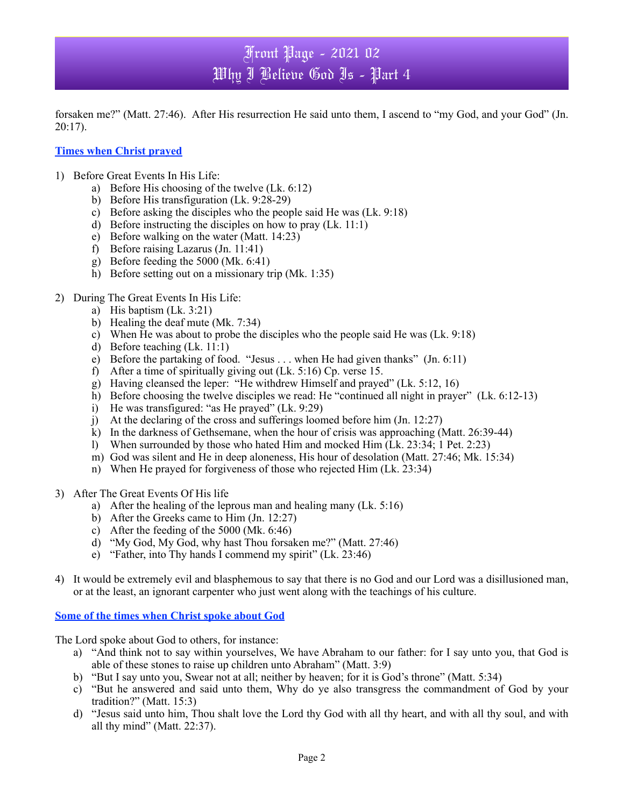# Front Page - 2021 02 Why I Believe God Is - Part 4

forsaken me?" (Matt. 27:46). After His resurrection He said unto them, I ascend to "my God, and your God" (Jn. 20:17).

### **Times when Christ prayed**

- 1) Before Great Events In His Life:
	- a) Before His choosing of the twelve (Lk. 6:12)
	- b) Before His transfiguration (Lk. 9:28-29)
	- c) Before asking the disciples who the people said He was (Lk. 9:18)
	- d) Before instructing the disciples on how to pray (Lk. 11:1)
	- e) Before walking on the water (Matt. 14:23)
	- f) Before raising Lazarus (Jn. 11:41)
	- g) Before feeding the 5000 (Mk. 6:41)
	- h) Before setting out on a missionary trip (Mk. 1:35)
- 2) During The Great Events In His Life:
	- a) His baptism (Lk. 3:21)
	- b) Healing the deaf mute (Mk. 7:34)
	- c) When He was about to probe the disciples who the people said He was (Lk. 9:18)
	- d) Before teaching (Lk. 11:1)
	- e) Before the partaking of food. "Jesus . . . when He had given thanks" (Jn. 6:11)
	- f) After a time of spiritually giving out (Lk. 5:16) Cp. verse 15.
	- g) Having cleansed the leper: "He withdrew Himself and prayed" (Lk. 5:12, 16)
	- h) Before choosing the twelve disciples we read: He "continued all night in prayer" (Lk. 6:12-13)
	- i) He was transfigured: "as He prayed" (Lk. 9:29)
	- j) At the declaring of the cross and sufferings loomed before him (Jn. 12:27)
	- k) In the darkness of Gethsemane, when the hour of crisis was approaching (Matt. 26:39-44)
	- l) When surrounded by those who hated Him and mocked Him (Lk. 23:34; 1 Pet. 2:23)
	- m) God was silent and He in deep aloneness, His hour of desolation (Matt. 27:46; Mk. 15:34)
	- n) When He prayed for forgiveness of those who rejected Him (Lk. 23:34)
- 3) After The Great Events Of His life
	- a) After the healing of the leprous man and healing many (Lk. 5:16)
	- b) After the Greeks came to Him (Jn. 12:27)
	- c) After the feeding of the 5000 (Mk. 6:46)
	- d) "My God, My God, why hast Thou forsaken me?" (Matt. 27:46)
	- e) "Father, into Thy hands I commend my spirit" (Lk. 23:46)
- 4) It would be extremely evil and blasphemous to say that there is no God and our Lord was a disillusioned man, or at the least, an ignorant carpenter who just went along with the teachings of his culture.

**Some of the times when Christ spoke about God**

The Lord spoke about God to others, for instance:

- a) "And think not to say within yourselves, We have Abraham to our father: for I say unto you, that God is able of these stones to raise up children unto Abraham" (Matt. 3:9)
- b) "But I say unto you, Swear not at all; neither by heaven; for it is God's throne" (Matt. 5:34)
- c) "But he answered and said unto them, Why do ye also transgress the commandment of God by your tradition?" (Matt. 15:3)
- d) "Jesus said unto him, Thou shalt love the Lord thy God with all thy heart, and with all thy soul, and with all thy mind" (Matt. 22:37).